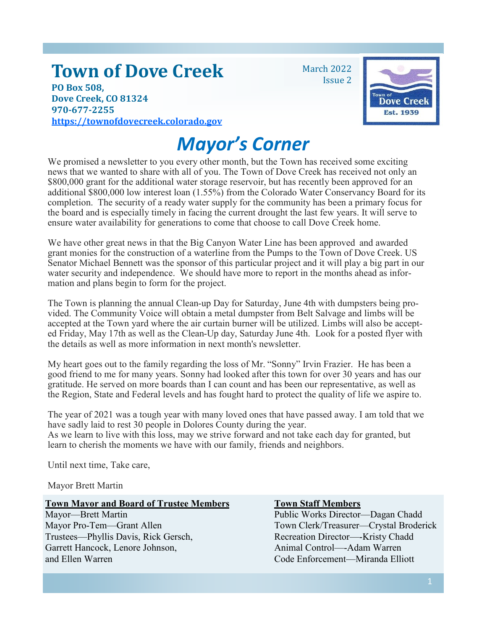# **Town of Dove Creek**

**PO Box 508, Dove Creek, CO 81324 970-677-2255 [h](https://townofdovecreek.colorado.gov)ttps://townofdovecreek.colorado.gov** March 2022 Issue 2



# *Mayor's Corner*

We promised a newsletter to you every other month, but the Town has received some exciting news that we wanted to share with all of you. The Town of Dove Creek has received not only an \$800,000 grant for the additional water storage reservoir, but has recently been approved for an additional \$800,000 low interest loan (1.55%) from the Colorado Water Conservancy Board for its completion. The security of a ready water supply for the community has been a primary focus for the board and is especially timely in facing the current drought the last few years. It will serve to ensure water availability for generations to come that choose to call Dove Creek home.

We have other great news in that the Big Canyon Water Line has been approved and awarded grant monies for the construction of a waterline from the Pumps to the Town of Dove Creek. US Senator Michael Bennett was the sponsor of this particular project and it will play a big part in our water security and independence. We should have more to report in the months ahead as information and plans begin to form for the project.

The Town is planning the annual Clean-up Day for Saturday, June 4th with dumpsters being provided. The Community Voice will obtain a metal dumpster from Belt Salvage and limbs will be accepted at the Town yard where the air curtain burner will be utilized. Limbs will also be accepted Friday, May 17th as well as the Clean-Up day, Saturday June 4th. Look for a posted flyer with the details as well as more information in next month's newsletter.

My heart goes out to the family regarding the loss of Mr. "Sonny" Irvin Frazier. He has been a good friend to me for many years. Sonny had looked after this town for over 30 years and has our gratitude. He served on more boards than I can count and has been our representative, as well as the Region, State and Federal levels and has fought hard to protect the quality of life we aspire to.

The year of 2021 was a tough year with many loved ones that have passed away. I am told that we have sadly laid to rest 30 people in Dolores County during the year.

As we learn to live with this loss, may we strive forward and not take each day for granted, but learn to cherish the moments we have with our family, friends and neighbors.

Until next time, Take care,

Mayor Brett Martin

#### **Town Mayor and Board of Trustee Members Town Staff Members**

Trustees—Phyllis Davis, Rick Gersch, Recreation Director—-Kristy Chadd Garrett Hancock, Lenore Johnson, Animal Control—-Adam Warren and Ellen Warren Code Enforcement—Miranda Elliott

Mayor—Brett Martin Public Works Director—Dagan Chadd Mayor Pro-Tem—Grant Allen Town Clerk/Treasurer—Crystal Broderick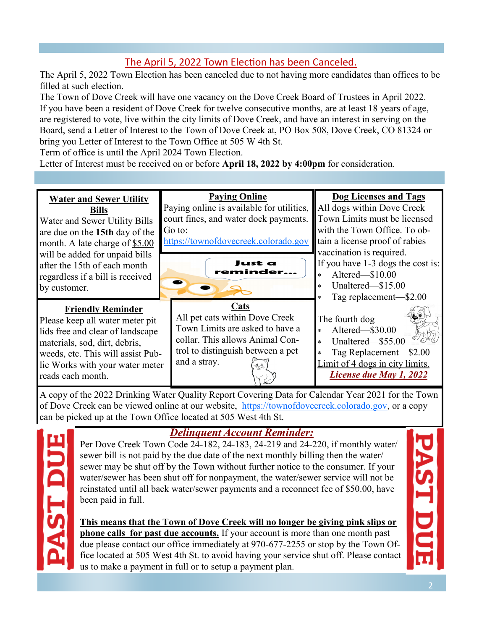# The April 5, 2022 Town Election has been Canceled.

The April 5, 2022 Town Election has been canceled due to not having more candidates than offices to be filled at such election.

The Town of Dove Creek will have one vacancy on the Dove Creek Board of Trustees in April 2022. If you have been a resident of Dove Creek for twelve consecutive months, are at least 18 years of age, are registered to vote, live within the city limits of Dove Creek, and have an interest in serving on the Board, send a Letter of Interest to the Town of Dove Creek at, PO Box 508, Dove Creek, CO 81324 or bring you Letter of Interest to the Town Office at 505 W 4th St.

Term of office is until the April 2024 Town Election.

Letter of Interest must be received on or before **April 18, 2022 by 4:00pm** for consideration.

#### **Water and Sewer Utility Bills**

Water and Sewer Utility Bills are due on the **15th** day of the month. A late charge of \$5.00 will be added for unpaid bills after the 15th of each month regardless if a bill is received by customer.

### **Friendly Reminder**

Please keep all water meter pit lids free and clear of landscape materials, sod, dirt, debris, weeds, etc. This will assist Public Works with your water meter reads each month.

# **Paying Online**  Paying online is available for utilities,

court fines, and water dock payments. Go to:

https://townofdovecreek.colorado.go[v](https://townofdovecreek.colorado.gov)



All pet cats within Dove Creek Town Limits are asked to have a collar. This allows Animal Control to distinguish between a pet and a stray.

### **Dog Licenses and Tags**

All dogs within Dove Creek Town Limits must be licensed with the Town Office. To obtain a license proof of rabies vaccination is required. If you have 1-3 dogs the cost is:

- Altered—\$10.00 Unaltered—\$15.00
- Tag replacement—\$2.00
- The fourth dog Altered—\$30.00 Unaltered—\$55.00
	-

 Tag Replacement—\$2.00 Limit of 4 dogs in city limits. *License due May 1, 2022*

A copy of the 2022 Drinking Water Quality Report Covering Data for Calendar Year 2021 for the Town of Dove Creek can be viewed online at our website, https://townofdovecreek.colorado.gov[,](https://townofdovecreek.colorado.gov) or a copy can be picked up at the Town Office located at 505 West 4th St.



## *Delinquent Account Reminder:*

Per Dove Creek Town Code 24-182, 24-183, 24-219 and 24-220, if monthly water/ sewer bill is not paid by the due date of the next monthly billing then the water/ sewer may be shut off by the Town without further notice to the consumer. If your water/sewer has been shut off for nonpayment, the water/sewer service will not be reinstated until all back water/sewer payments and a reconnect fee of \$50.00, have been paid in full.

**This means that the Town of Dove Creek will no longer be giving pink slips or phone calls for past due accounts.** If your account is more than one month past due please contact our office immediately at 970-677-2255 or stop by the Town Office located at 505 West 4th St. to avoid having your service shut off. Please contact us to make a payment in full or to setup a payment plan.

**AST DU**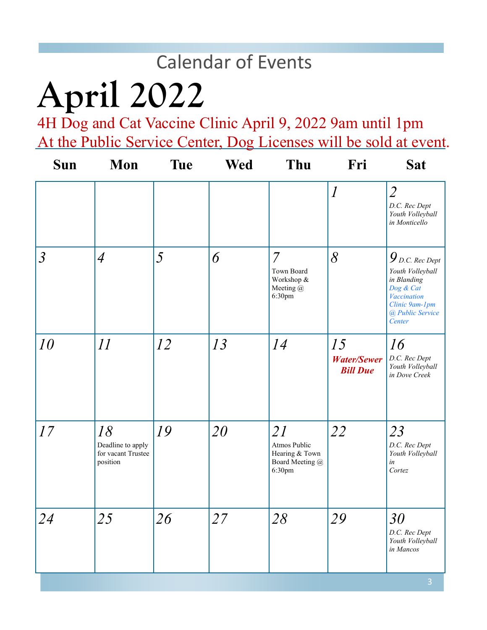# Calendar of Events

# **April 2022**

4H Dog and Cat Vaccine Clinic April 9, 2022 9am until 1pm At the Public Service Center, Dog Licenses will be sold at event.

| Sun            | Mon                                                       | <b>Tue</b> | <b>Wed</b> | Thu                                                               | Fri                                         | <b>Sat</b>                                                                                                                                       |
|----------------|-----------------------------------------------------------|------------|------------|-------------------------------------------------------------------|---------------------------------------------|--------------------------------------------------------------------------------------------------------------------------------------------------|
|                |                                                           |            |            |                                                                   | $\overline{l}$                              | $\overline{2}$<br>D.C. Rec Dept<br>Youth Volleyball<br>in Monticello                                                                             |
| $\mathfrak{Z}$ | $\overline{4}$                                            | 5          | 6          | $\overline{7}$<br>Town Board<br>Workshop &<br>Meeting @<br>6:30pm | 8                                           | $\bm{9}_{\textit{D.C. Rec Dept}}$<br>Youth Volleyball<br>in Blanding<br>Dog & Cat<br>Vaccination<br>Clinic 9am-1pm<br>@ Public Service<br>Center |
| 10             | 11                                                        | 12         | 13         | 14                                                                | 15<br><b>Water/Sewer</b><br><b>Bill Due</b> | 16<br>D.C. Rec Dept<br>Youth Volleyball<br>in Dove Creek                                                                                         |
| 17             | 18<br>Deadline to apply<br>for vacant Trustee<br>position | 19         | 20         | 21<br>Atmos Public<br>Hearing & Town<br>Board Meeting @<br>6:30pm | 22                                          | 23<br>D.C. Rec Dept<br>Youth Volleyball<br>in<br>Cortez                                                                                          |
| 24             | 25                                                        | 26         | 27         | 28                                                                | 29                                          | 30<br>D.C. Rec Dept<br>Youth Volleyball<br>in Mancos                                                                                             |